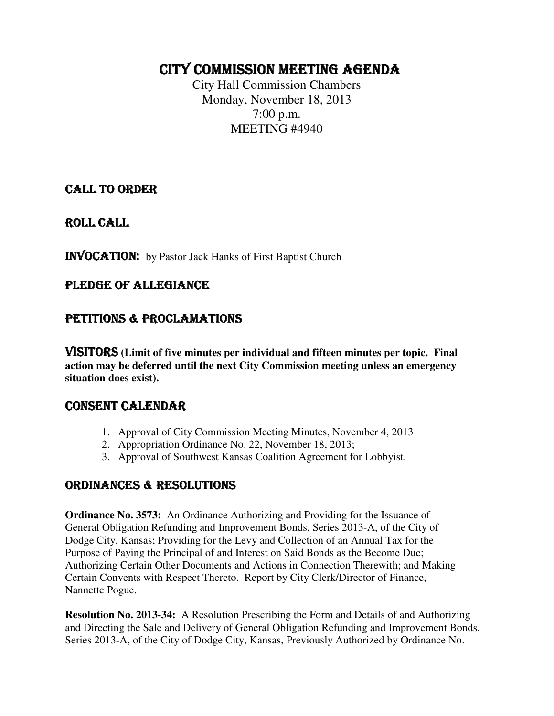# CITY COMMISSION MEETING AGENDA

City Hall Commission Chambers Monday, November 18, 2013 7:00 p.m. MEETING #4940

# CALL TO ORDER

ROLL CALL

INVOCATION: by Pastor Jack Hanks of First Baptist Church

# PLEDGE OF ALLEGIANCE

# PETITIONS & PROCLAMATIONS

VISITORS **(Limit of five minutes per individual and fifteen minutes per topic. Final action may be deferred until the next City Commission meeting unless an emergency situation does exist).** 

### CONSENT CALENDAR

- 1. Approval of City Commission Meeting Minutes, November 4, 2013
- 2. Appropriation Ordinance No. 22, November 18, 2013;
- 3. Approval of Southwest Kansas Coalition Agreement for Lobbyist.

### ORDINANCES & RESOLUTIONS

**Ordinance No. 3573:** An Ordinance Authorizing and Providing for the Issuance of General Obligation Refunding and Improvement Bonds, Series 2013-A, of the City of Dodge City, Kansas; Providing for the Levy and Collection of an Annual Tax for the Purpose of Paying the Principal of and Interest on Said Bonds as the Become Due; Authorizing Certain Other Documents and Actions in Connection Therewith; and Making Certain Convents with Respect Thereto. Report by City Clerk/Director of Finance, Nannette Pogue.

**Resolution No. 2013-34:** A Resolution Prescribing the Form and Details of and Authorizing and Directing the Sale and Delivery of General Obligation Refunding and Improvement Bonds, Series 2013-A, of the City of Dodge City, Kansas, Previously Authorized by Ordinance No.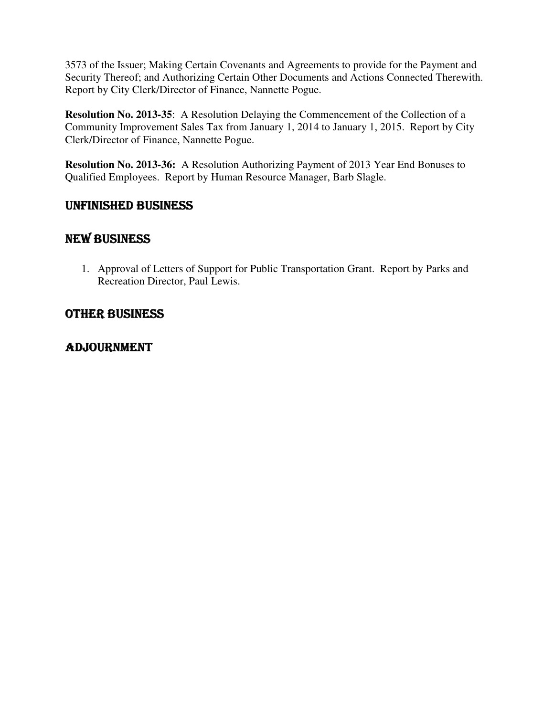3573 of the Issuer; Making Certain Covenants and Agreements to provide for the Payment and Security Thereof; and Authorizing Certain Other Documents and Actions Connected Therewith. Report by City Clerk/Director of Finance, Nannette Pogue.

**Resolution No. 2013-35**: A Resolution Delaying the Commencement of the Collection of a Community Improvement Sales Tax from January 1, 2014 to January 1, 2015. Report by City Clerk/Director of Finance, Nannette Pogue.

**Resolution No. 2013-36:** A Resolution Authorizing Payment of 2013 Year End Bonuses to Qualified Employees. Report by Human Resource Manager, Barb Slagle.

# UNFINISHED BUSINESS

# NEW BUSINESS

1. Approval of Letters of Support for Public Transportation Grant. Report by Parks and Recreation Director, Paul Lewis.

# OTHER BUSINESS

# ADJOURNMENT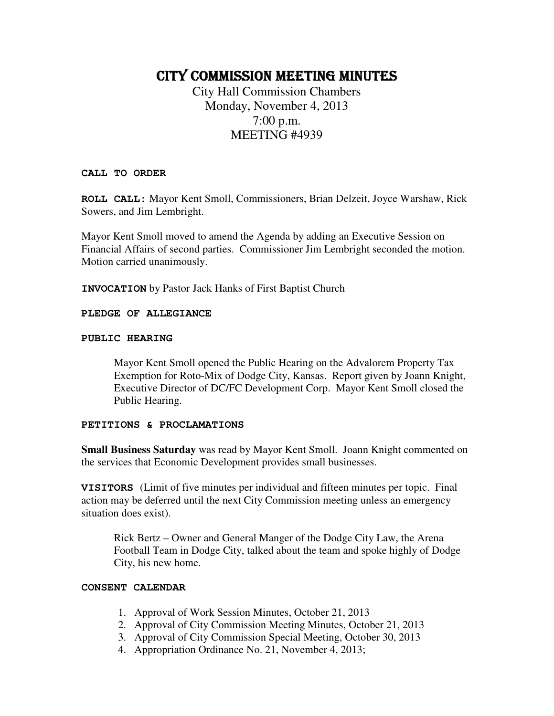# CITY COMMISSION MEETING MINUTES

City Hall Commission Chambers Monday, November 4, 2013 7:00 p.m. MEETING #4939

#### **CALL TO ORDER**

**ROLL CALL:** Mayor Kent Smoll, Commissioners, Brian Delzeit, Joyce Warshaw, Rick Sowers, and Jim Lembright.

Mayor Kent Smoll moved to amend the Agenda by adding an Executive Session on Financial Affairs of second parties. Commissioner Jim Lembright seconded the motion. Motion carried unanimously.

**INVOCATION** by Pastor Jack Hanks of First Baptist Church

#### **PLEDGE OF ALLEGIANCE**

#### **PUBLIC HEARING**

Mayor Kent Smoll opened the Public Hearing on the Advalorem Property Tax Exemption for Roto-Mix of Dodge City, Kansas. Report given by Joann Knight, Executive Director of DC/FC Development Corp. Mayor Kent Smoll closed the Public Hearing.

#### **PETITIONS & PROCLAMATIONS**

**Small Business Saturday** was read by Mayor Kent Smoll. Joann Knight commented on the services that Economic Development provides small businesses.

**VISITORS** (Limit of five minutes per individual and fifteen minutes per topic. Final action may be deferred until the next City Commission meeting unless an emergency situation does exist).

Rick Bertz – Owner and General Manger of the Dodge City Law, the Arena Football Team in Dodge City, talked about the team and spoke highly of Dodge City, his new home.

#### **CONSENT CALENDAR**

- 1. Approval of Work Session Minutes, October 21, 2013
- 2. Approval of City Commission Meeting Minutes, October 21, 2013
- 3. Approval of City Commission Special Meeting, October 30, 2013
- 4. Appropriation Ordinance No. 21, November 4, 2013;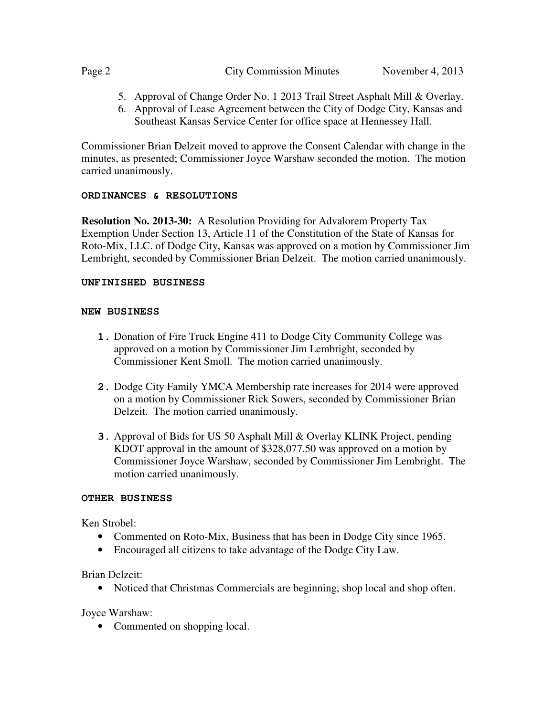#### Page 2 City Commission Minutes November 4, 2013

- 5. Approval of Change Order No. 1 2013 Trail Street Asphalt Mill & Overlay.
- 6. Approval of Lease Agreement between the City of Dodge City, Kansas and Southeast Kansas Service Center for office space at Hennessey Hall.

Commissioner Brian Delzeit moved to approve the Consent Calendar with change in the minutes, as presented; Commissioner Joyce Warshaw seconded the motion. The motion carried unanimously.

#### **ORDINANCES & RESOLUTIONS**

**Resolution No. 2013-30:** A Resolution Providing for Advalorem Property Tax Exemption Under Section 13, Article 11 of the Constitution of the State of Kansas for Roto-Mix, LLC. of Dodge City, Kansas was approved on a motion by Commissioner Jim Lembright, seconded by Commissioner Brian Delzeit. The motion carried unanimously.

#### **UNFINISHED BUSINESS**

#### **NEW BUSINESS**

- **1.** Donation of Fire Truck Engine 411 to Dodge City Community College was approved on a motion by Commissioner Jim Lembright, seconded by Commissioner Kent Smoll. The motion carried unanimously.
- **2.** Dodge City Family YMCA Membership rate increases for 2014 were approved on a motion by Commissioner Rick Sowers, seconded by Commissioner Brian Delzeit. The motion carried unanimously.
- **3.** Approval of Bids for US 50 Asphalt Mill & Overlay KLINK Project, pending KDOT approval in the amount of \$328,077.50 was approved on a motion by Commissioner Joyce Warshaw, seconded by Commissioner Jim Lembright. The motion carried unanimously.

#### **OTHER BUSINESS**

Ken Strobel:

- Commented on Roto-Mix, Business that has been in Dodge City since 1965.
- Encouraged all citizens to take advantage of the Dodge City Law.

Brian Delzeit:

• Noticed that Christmas Commercials are beginning, shop local and shop often.

Joyce Warshaw:

• Commented on shopping local.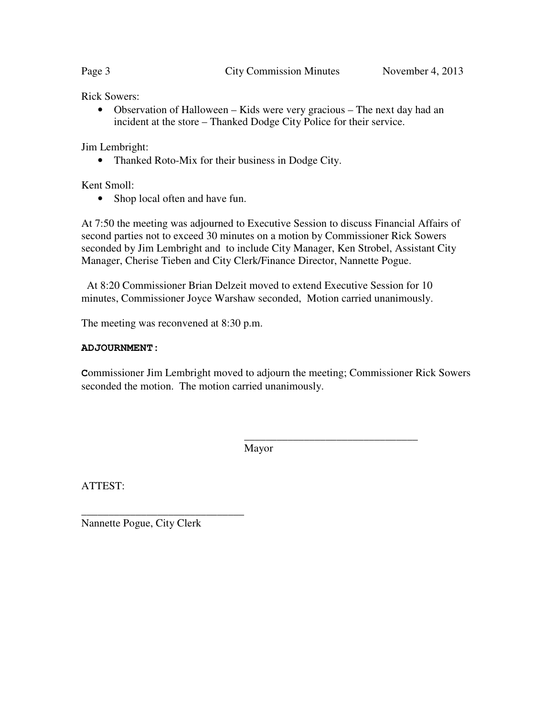Rick Sowers:

• Observation of Halloween – Kids were very gracious – The next day had an incident at the store – Thanked Dodge City Police for their service.

Jim Lembright:

• Thanked Roto-Mix for their business in Dodge City.

Kent Smoll:

• Shop local often and have fun.

At 7:50 the meeting was adjourned to Executive Session to discuss Financial Affairs of second parties not to exceed 30 minutes on a motion by Commissioner Rick Sowers seconded by Jim Lembright and to include City Manager, Ken Strobel, Assistant City Manager, Cherise Tieben and City Clerk/Finance Director, Nannette Pogue.

 At 8:20 Commissioner Brian Delzeit moved to extend Executive Session for 10 minutes, Commissioner Joyce Warshaw seconded, Motion carried unanimously.

The meeting was reconvened at 8:30 p.m.

#### **ADJOURNMENT:**

**C**ommissioner Jim Lembright moved to adjourn the meeting; Commissioner Rick Sowers seconded the motion. The motion carried unanimously.

Mayor

 $\overline{\phantom{a}}$  ,  $\overline{\phantom{a}}$  ,  $\overline{\phantom{a}}$  ,  $\overline{\phantom{a}}$  ,  $\overline{\phantom{a}}$  ,  $\overline{\phantom{a}}$  ,  $\overline{\phantom{a}}$  ,  $\overline{\phantom{a}}$  ,  $\overline{\phantom{a}}$  ,  $\overline{\phantom{a}}$  ,  $\overline{\phantom{a}}$  ,  $\overline{\phantom{a}}$  ,  $\overline{\phantom{a}}$  ,  $\overline{\phantom{a}}$  ,  $\overline{\phantom{a}}$  ,  $\overline{\phantom{a}}$ 

ATTEST:

Nannette Pogue, City Clerk

\_\_\_\_\_\_\_\_\_\_\_\_\_\_\_\_\_\_\_\_\_\_\_\_\_\_\_\_\_\_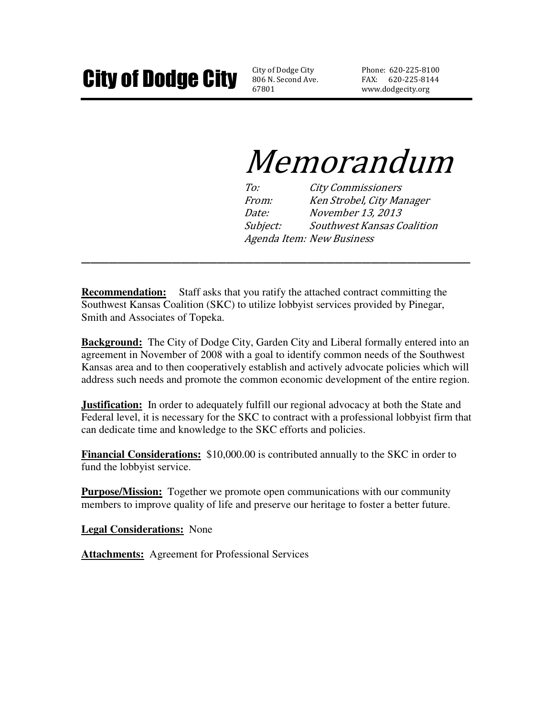806 N. Second Ave. 67801

Phone: 620-225-8100 FAX: 620-225-8144 www.dodgecity.org

# Memorandum

To: City Commissioners From: Ken Strobel, City Manager Date: November 13, 2013 Subject: Southwest Kansas Coalition Agenda Item: New Business

**Recommendation:** Staff asks that you ratify the attached contract committing the Southwest Kansas Coalition (SKC) to utilize lobbyist services provided by Pinegar, Smith and Associates of Topeka.

**Background:** The City of Dodge City, Garden City and Liberal formally entered into an agreement in November of 2008 with a goal to identify common needs of the Southwest Kansas area and to then cooperatively establish and actively advocate policies which will address such needs and promote the common economic development of the entire region.

**\_\_\_\_\_\_\_\_\_\_\_\_\_\_\_\_\_\_\_\_\_\_\_\_\_\_\_\_\_\_\_\_\_\_\_\_\_\_\_\_\_\_\_** 

**Justification:** In order to adequately fulfill our regional advocacy at both the State and Federal level, it is necessary for the SKC to contract with a professional lobbyist firm that can dedicate time and knowledge to the SKC efforts and policies.

**Financial Considerations:** \$10,000.00 is contributed annually to the SKC in order to fund the lobbyist service.

**Purpose/Mission:** Together we promote open communications with our community members to improve quality of life and preserve our heritage to foster a better future.

**Legal Considerations:** None

**Attachments:** Agreement for Professional Services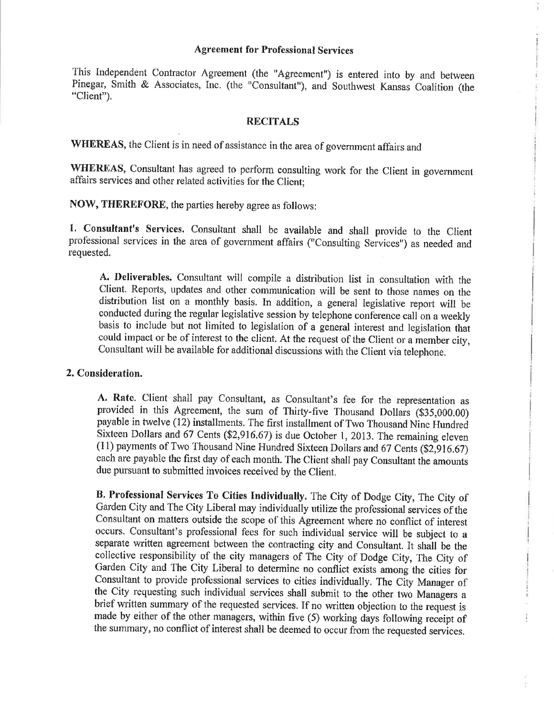#### **Agreement for Professional Services**

This Independent Contractor Agreement (the "Agreement") is entered into by and between Pinegar, Smith & Associates, Inc. (the "Consultant"), and Southwest Kansas Coalition (the "Client").

#### **RECITALS**

WHEREAS, the Client is in need of assistance in the area of government affairs and

WHEREAS, Consultant has agreed to perform consulting work for the Client in government affairs services and other related activities for the Client;

NOW, THEREFORE, the parties hereby agree as follows:

1. Consultant's Services. Consultant shall be available and shall provide to the Client professional services in the area of government affairs ("Consulting Services") as needed and requested.

A. Deliverables. Consultant will compile a distribution list in consultation with the Client. Reports, updates and other communication will be sent to those names on the distribution list on a monthly basis. In addition, a general legislative report will be conducted during the regular legislative session by telephone conference call on a weekly basis to include but not limited to legislation of a general interest and legislation that could impact or be of interest to the client. At the request of the Client or a member city, Consultant will be available for additional discussions with the Client via telephone.

#### 2. Consideration.

A. Rate. Client shall pay Consultant, as Consultant's fee for the representation as provided in this Agreement, the sum of Thirty-five Thousand Dollars (\$35,000.00) payable in twelve (12) installments. The first installment of Two Thousand Nine Hundred Sixteen Dollars and 67 Cents (\$2,916.67) is due October 1, 2013. The remaining eleven (11) payments of Two Thousand Nine Hundred Sixteen Dollars and 67 Cents (\$2,916.67) each are payable the first day of each month. The Client shall pay Consultant the amounts due pursuant to submitted invoices received by the Client.

B. Professional Services To Cities Individually. The City of Dodge City, The City of Garden City and The City Liberal may individually utilize the professional services of the Consultant on matters outside the scope of this Agreement where no conflict of interest occurs. Consultant's professional fees for such individual service will be subject to a separate written agreement between the contracting city and Consultant. It shall be the collective responsibility of the city managers of The City of Dodge City, The City of Garden City and The City Liberal to determine no conflict exists among the cities for Consultant to provide professional services to cities individually. The City Manager of the City requesting such individual services shall submit to the other two Managers a brief written summary of the requested services. If no written objection to the request is made by either of the other managers, within five (5) working days following receipt of the summary, no conflict of interest shall be deemed to occur from the requested services.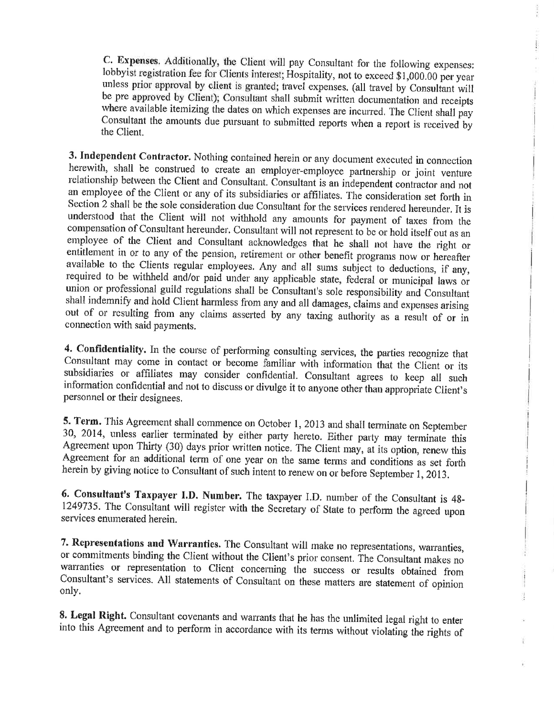C. Expenses. Additionally, the Client will pay Consultant for the following expenses: lobbyist registration fee for Clients interest; Hospitality, not to exceed \$1,000.00 per year unless prior approval by client is granted; travel expenses. (all travel by Consultant will be pre approved by Client); Consultant shall submit written documentation and receipts where available itemizing the dates on which expenses are incurred. The Client shall pay Consultant the amounts due pursuant to submitted reports when a report is received by the Client

3. Independent Contractor. Nothing contained herein or any document executed in connection herewith, shall be construed to create an employer-employee partnership or joint venture relationship between the Client and Consultant. Consultant is an independent contractor and not an employee of the Client or any of its subsidiaries or affiliates. The consideration set forth in Section 2 shall be the sole consideration due Consultant for the services rendered hereunder. It is understood that the Client will not withhold any amounts for payment of taxes from the compensation of Consultant hereunder. Consultant will not represent to be or hold itself out as an employee of the Client and Consultant acknowledges that he shall not have the right or entitlement in or to any of the pension, retirement or other benefit programs now or hereafter available to the Clients regular employees. Any and all sums subject to deductions, if any, required to be withheld and/or paid under any applicable state, federal or municipal laws or union or professional guild regulations shall be Consultant's sole responsibility and Consultant shall indemnify and hold Client harmless from any and all damages, claims and expenses arising out of or resulting from any claims asserted by any taxing authority as a result of or in connection with said payments.

4. Confidentiality. In the course of performing consulting services, the parties recognize that Consultant may come in contact or become familiar with information that the Client or its subsidiaries or affiliates may consider confidential. Consultant agrees to keep all such information confidential and not to discuss or divulge it to anyone other than appropriate Client's personnel or their designees.

5. Term. This Agreement shall commence on October 1, 2013 and shall terminate on September 30, 2014, unless earlier terminated by either party hereto. Either party may terminate this Agreement upon Thirty (30) days prior written notice. The Client may, at its option, renew this Agreement for an additional term of one year on the same terms and conditions as set forth herein by giving notice to Consultant of such intent to renew on or before September 1, 2013.

6. Consultant's Taxpayer I.D. Number. The taxpayer I.D. number of the Consultant is 48-1249735. The Consultant will register with the Secretary of State to perform the agreed upon services enumerated herein.

7. Representations and Warranties. The Consultant will make no representations, warranties, or commitments binding the Client without the Client's prior consent. The Consultant makes no warranties or representation to Client concerning the success or results obtained from Consultant's services. All statements of Consultant on these matters are statement of opinion only.

8. Legal Right. Consultant covenants and warrants that he has the unlimited legal right to enter into this Agreement and to perform in accordance with its terms without violating the rights of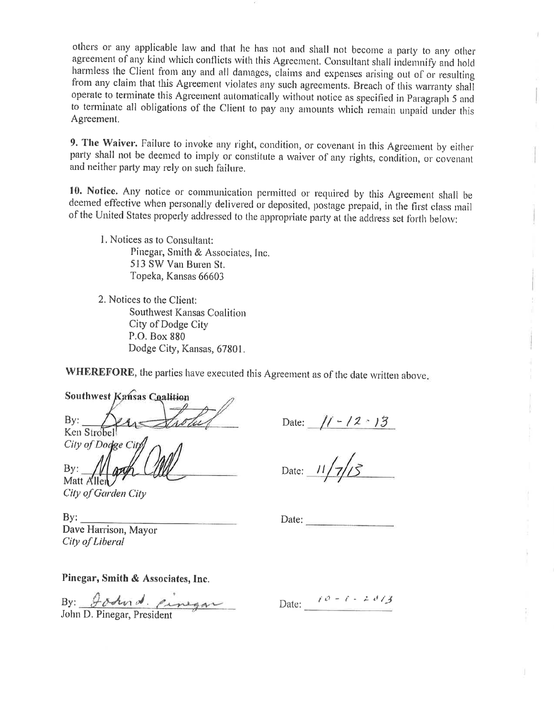others or any applicable law and that he has not and shall not become a party to any other agreement of any kind which conflicts with this Agreement. Consultant shall indemnify and hold harmless the Client from any and all damages, claims and expenses arising out of or resulting from any claim that this Agreement violates any such agreements. Breach of this warranty shall operate to terminate this Agreement automatically without notice as specified in Paragraph 5 and to terminate all obligations of the Client to pay any amounts which remain unpaid under this Agreement.

9. The Waiver. Failure to invoke any right, condition, or covenant in this Agreement by either party shall not be deemed to imply or constitute a waiver of any rights, condition, or covenant and neither party may rely on such failure.

10. Notice. Any notice or communication permitted or required by this Agreement shall be deemed effective when personally delivered or deposited, postage prepaid, in the first class mail of the United States properly addressed to the appropriate party at the address set forth below:

1. Notices as to Consultant: Pinegar, Smith & Associates, Inc. 513 SW Van Buren St. Topeka, Kansas 66603

2. Notices to the Client: Southwest Kansas Coalition City of Dodge City P.O. Box 880 Dodge City, Kansas, 67801.

WHEREFORE, the parties have executed this Agreement as of the date written above.

**Southwest Kansas Coalition**  $By:$ Ken Strobel City of Dodge City By:

Date:  $// - / 2 \cdot 13$ 

Date:

City of Garden City

 $By:$ Dave Harrison, Mayor City of Liberal

Matt Allen

 $Date:$ 

Pinegar, Smith & Associates, Inc.

By: gotende cinegar

Date:  $\ell \vartheta = \ell - 2 \vartheta / 3$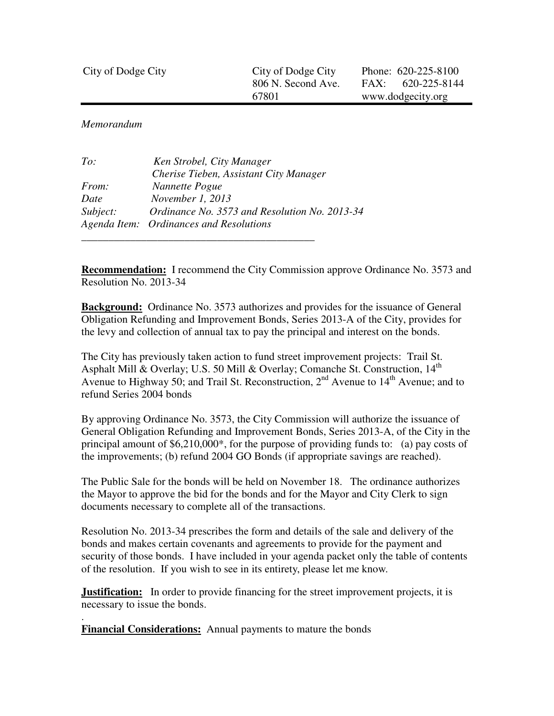| City of Dodge City | City of Dodge City | Phone: 620-225-8100 |
|--------------------|--------------------|---------------------|
|                    | 806 N. Second Ave. | $FAX: 620-225-8144$ |
|                    | 67801              | www.dodgecity.org   |

*Memorandum* 

.

| To:          | Ken Strobel, City Manager                     |
|--------------|-----------------------------------------------|
|              | Cherise Tieben, Assistant City Manager        |
| <i>From:</i> | Nannette Pogue                                |
| Date         | November 1, 2013                              |
| Subject:     | Ordinance No. 3573 and Resolution No. 2013-34 |
|              | Agenda Item: Ordinances and Resolutions       |
|              |                                               |

**Recommendation:** I recommend the City Commission approve Ordinance No. 3573 and Resolution No. 2013-34

**Background:** Ordinance No. 3573 authorizes and provides for the issuance of General Obligation Refunding and Improvement Bonds, Series 2013-A of the City, provides for the levy and collection of annual tax to pay the principal and interest on the bonds.

The City has previously taken action to fund street improvement projects: Trail St. Asphalt Mill & Overlay; U.S. 50 Mill & Overlay; Comanche St. Construction,  $14<sup>th</sup>$ Avenue to Highway 50; and Trail St. Reconstruction,  $2<sup>nd</sup>$  Avenue to  $14<sup>th</sup>$  Avenue; and to refund Series 2004 bonds

By approving Ordinance No. 3573, the City Commission will authorize the issuance of General Obligation Refunding and Improvement Bonds, Series 2013-A, of the City in the principal amount of \$6,210,000\*, for the purpose of providing funds to: (a) pay costs of the improvements; (b) refund 2004 GO Bonds (if appropriate savings are reached).

The Public Sale for the bonds will be held on November 18. The ordinance authorizes the Mayor to approve the bid for the bonds and for the Mayor and City Clerk to sign documents necessary to complete all of the transactions.

Resolution No. 2013-34 prescribes the form and details of the sale and delivery of the bonds and makes certain covenants and agreements to provide for the payment and security of those bonds. I have included in your agenda packet only the table of contents of the resolution. If you wish to see in its entirety, please let me know.

**Justification:** In order to provide financing for the street improvement projects, it is necessary to issue the bonds.

**Financial Considerations:** Annual payments to mature the bonds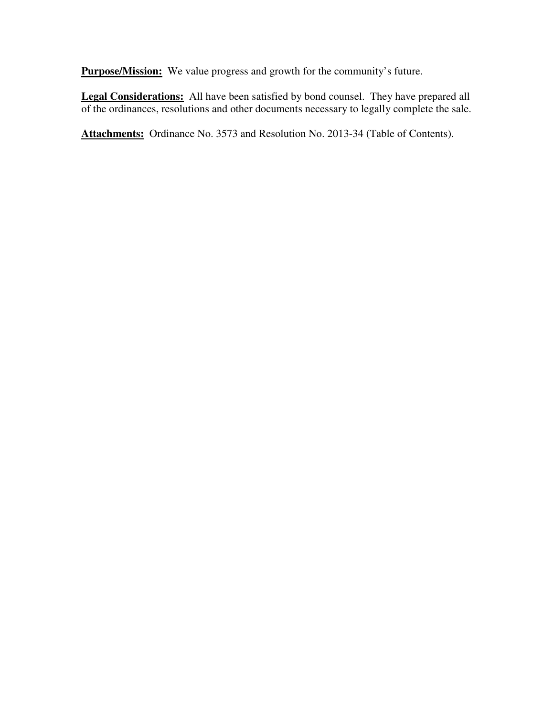**Purpose/Mission:** We value progress and growth for the community's future.

**Legal Considerations:** All have been satisfied by bond counsel. They have prepared all of the ordinances, resolutions and other documents necessary to legally complete the sale.

**Attachments:** Ordinance No. 3573 and Resolution No. 2013-34 (Table of Contents).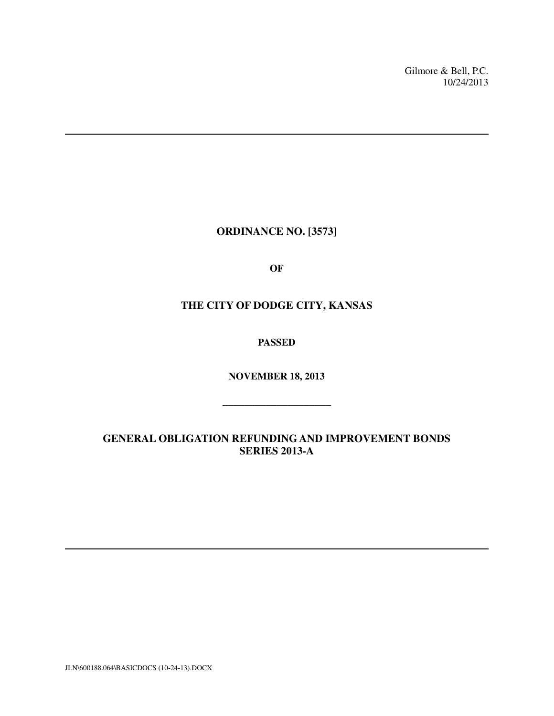Gilmore & Bell, P.C. 10/24/2013

**ORDINANCE NO. [3573]** 

**OF** 

# **THE CITY OF DODGE CITY, KANSAS**

**PASSED** 

**NOVEMBER 18, 2013**

**\_\_\_\_\_\_\_\_\_\_\_\_\_\_\_\_\_\_\_\_** 

**GENERAL OBLIGATION REFUNDING AND IMPROVEMENT BONDS SERIES 2013-A** 

JLN\600188.064\BASICDOCS (10-24-13).DOCX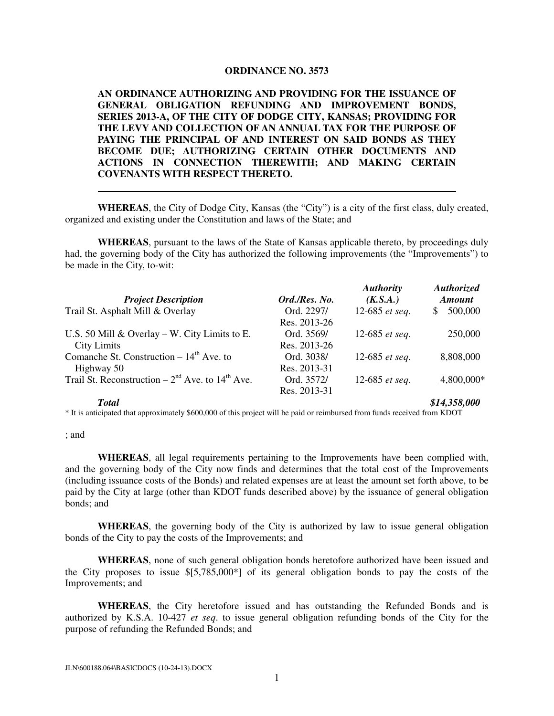#### **ORDINANCE NO. 3573**

**AN ORDINANCE AUTHORIZING AND PROVIDING FOR THE ISSUANCE OF GENERAL OBLIGATION REFUNDING AND IMPROVEMENT BONDS, SERIES 2013-A, OF THE CITY OF DODGE CITY, KANSAS; PROVIDING FOR THE LEVY AND COLLECTION OF AN ANNUAL TAX FOR THE PURPOSE OF PAYING THE PRINCIPAL OF AND INTEREST ON SAID BONDS AS THEY BECOME DUE; AUTHORIZING CERTAIN OTHER DOCUMENTS AND ACTIONS IN CONNECTION THEREWITH; AND MAKING CERTAIN COVENANTS WITH RESPECT THERETO.** 

**WHEREAS**, the City of Dodge City, Kansas (the "City") is a city of the first class, duly created, organized and existing under the Constitution and laws of the State; and

**WHEREAS**, pursuant to the laws of the State of Kansas applicable thereto, by proceedings duly had, the governing body of the City has authorized the following improvements (the "Improvements") to be made in the City, to-wit:

| <b>Project Description</b>                                     | Ord./Res. No. | <b>Authority</b><br>(K.S.A.) | <b>Authorized</b><br><b>Amount</b> |
|----------------------------------------------------------------|---------------|------------------------------|------------------------------------|
| Trail St. Asphalt Mill & Overlay                               | Ord. 2297/    | 12-685 et seq.               | 500,000<br>S.                      |
|                                                                | Res. 2013-26  |                              |                                    |
| U.S. 50 Mill $\&$ Overlay – W. City Limits to E.               | Ord. 3569/    | 12-685 et seq.               | 250,000                            |
| <b>City Limits</b>                                             | Res. 2013-26  |                              |                                    |
| Comanche St. Construction $-14^{th}$ Ave. to                   | Ord. 3038/    | 12-685 $et seq.$             | 8,808,000                          |
| Highway 50                                                     | Res. 2013-31  |                              |                                    |
| Trail St. Reconstruction – $2nd$ Ave. to 14 <sup>th</sup> Ave. | Ord. 3572/    | 12-685 $et seq.$             | $4,800,000*$                       |
|                                                                | Res. 2013-31  |                              |                                    |
| <b>Total</b>                                                   |               |                              | \$14,358,000                       |

\* It is anticipated that approximately \$600,000 of this project will be paid or reimbursed from funds received from KDOT

; and

**WHEREAS**, all legal requirements pertaining to the Improvements have been complied with, and the governing body of the City now finds and determines that the total cost of the Improvements (including issuance costs of the Bonds) and related expenses are at least the amount set forth above, to be paid by the City at large (other than KDOT funds described above) by the issuance of general obligation bonds; and

**WHEREAS**, the governing body of the City is authorized by law to issue general obligation bonds of the City to pay the costs of the Improvements; and

**WHEREAS**, none of such general obligation bonds heretofore authorized have been issued and the City proposes to issue \$[5,785,000\*] of its general obligation bonds to pay the costs of the Improvements; and

**WHEREAS**, the City heretofore issued and has outstanding the Refunded Bonds and is authorized by K.S.A. 10-427 *et seq*. to issue general obligation refunding bonds of the City for the purpose of refunding the Refunded Bonds; and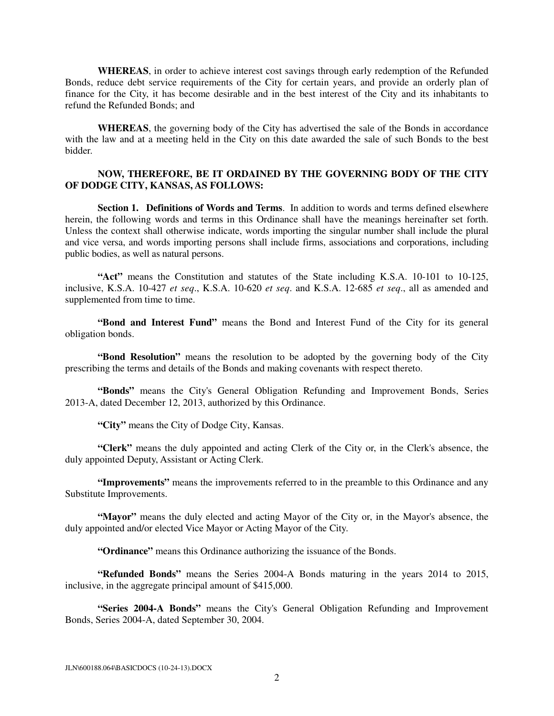**WHEREAS**, in order to achieve interest cost savings through early redemption of the Refunded Bonds, reduce debt service requirements of the City for certain years, and provide an orderly plan of finance for the City, it has become desirable and in the best interest of the City and its inhabitants to refund the Refunded Bonds; and

**WHEREAS**, the governing body of the City has advertised the sale of the Bonds in accordance with the law and at a meeting held in the City on this date awarded the sale of such Bonds to the best bidder.

#### **NOW, THEREFORE, BE IT ORDAINED BY THE GOVERNING BODY OF THE CITY OF DODGE CITY, KANSAS, AS FOLLOWS:**

**Section 1. Definitions of Words and Terms**. In addition to words and terms defined elsewhere herein, the following words and terms in this Ordinance shall have the meanings hereinafter set forth. Unless the context shall otherwise indicate, words importing the singular number shall include the plural and vice versa, and words importing persons shall include firms, associations and corporations, including public bodies, as well as natural persons.

**"Act"** means the Constitution and statutes of the State including K.S.A. 10-101 to 10-125, inclusive, K.S.A. 10-427 *et seq*., K.S.A. 10-620 *et seq*. and K.S.A. 12-685 *et seq*., all as amended and supplemented from time to time.

**"Bond and Interest Fund"** means the Bond and Interest Fund of the City for its general obligation bonds.

**"Bond Resolution"** means the resolution to be adopted by the governing body of the City prescribing the terms and details of the Bonds and making covenants with respect thereto.

**"Bonds"** means the City's General Obligation Refunding and Improvement Bonds, Series 2013-A, dated December 12, 2013, authorized by this Ordinance.

 **"City"** means the City of Dodge City, Kansas.

 **"Clerk"** means the duly appointed and acting Clerk of the City or, in the Clerk's absence, the duly appointed Deputy, Assistant or Acting Clerk.

 **"Improvements"** means the improvements referred to in the preamble to this Ordinance and any Substitute Improvements.

**"Mayor"** means the duly elected and acting Mayor of the City or, in the Mayor's absence, the duly appointed and/or elected Vice Mayor or Acting Mayor of the City.

**"Ordinance"** means this Ordinance authorizing the issuance of the Bonds.

**"Refunded Bonds"** means the Series 2004-A Bonds maturing in the years 2014 to 2015, inclusive, in the aggregate principal amount of \$415,000.

 **"Series 2004-A Bonds"** means the City's General Obligation Refunding and Improvement Bonds, Series 2004-A, dated September 30, 2004.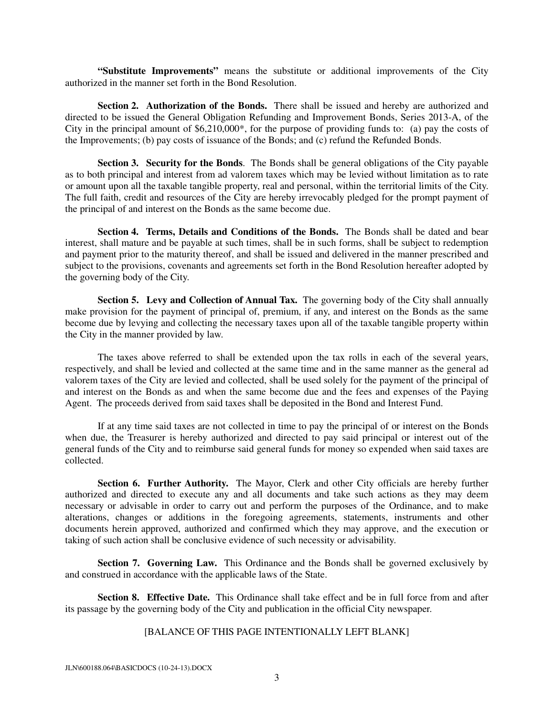**"Substitute Improvements"** means the substitute or additional improvements of the City authorized in the manner set forth in the Bond Resolution.

 **Section 2. Authorization of the Bonds.** There shall be issued and hereby are authorized and directed to be issued the General Obligation Refunding and Improvement Bonds, Series 2013-A, of the City in the principal amount of \$6,210,000\*, for the purpose of providing funds to: (a) pay the costs of the Improvements; (b) pay costs of issuance of the Bonds; and (c) refund the Refunded Bonds.

**Section 3. Security for the Bonds**. The Bonds shall be general obligations of the City payable as to both principal and interest from ad valorem taxes which may be levied without limitation as to rate or amount upon all the taxable tangible property, real and personal, within the territorial limits of the City. The full faith, credit and resources of the City are hereby irrevocably pledged for the prompt payment of the principal of and interest on the Bonds as the same become due.

**Section 4. Terms, Details and Conditions of the Bonds.** The Bonds shall be dated and bear interest, shall mature and be payable at such times, shall be in such forms, shall be subject to redemption and payment prior to the maturity thereof, and shall be issued and delivered in the manner prescribed and subject to the provisions, covenants and agreements set forth in the Bond Resolution hereafter adopted by the governing body of the City.

**Section 5. Levy and Collection of Annual Tax.** The governing body of the City shall annually make provision for the payment of principal of, premium, if any, and interest on the Bonds as the same become due by levying and collecting the necessary taxes upon all of the taxable tangible property within the City in the manner provided by law.

 The taxes above referred to shall be extended upon the tax rolls in each of the several years, respectively, and shall be levied and collected at the same time and in the same manner as the general ad valorem taxes of the City are levied and collected, shall be used solely for the payment of the principal of and interest on the Bonds as and when the same become due and the fees and expenses of the Paying Agent. The proceeds derived from said taxes shall be deposited in the Bond and Interest Fund.

 If at any time said taxes are not collected in time to pay the principal of or interest on the Bonds when due, the Treasurer is hereby authorized and directed to pay said principal or interest out of the general funds of the City and to reimburse said general funds for money so expended when said taxes are collected.

 **Section 6. Further Authority.** The Mayor, Clerk and other City officials are hereby further authorized and directed to execute any and all documents and take such actions as they may deem necessary or advisable in order to carry out and perform the purposes of the Ordinance, and to make alterations, changes or additions in the foregoing agreements, statements, instruments and other documents herein approved, authorized and confirmed which they may approve, and the execution or taking of such action shall be conclusive evidence of such necessity or advisability.

 **Section 7. Governing Law.** This Ordinance and the Bonds shall be governed exclusively by and construed in accordance with the applicable laws of the State.

**Section 8. Effective Date.** This Ordinance shall take effect and be in full force from and after its passage by the governing body of the City and publication in the official City newspaper.

#### [BALANCE OF THIS PAGE INTENTIONALLY LEFT BLANK]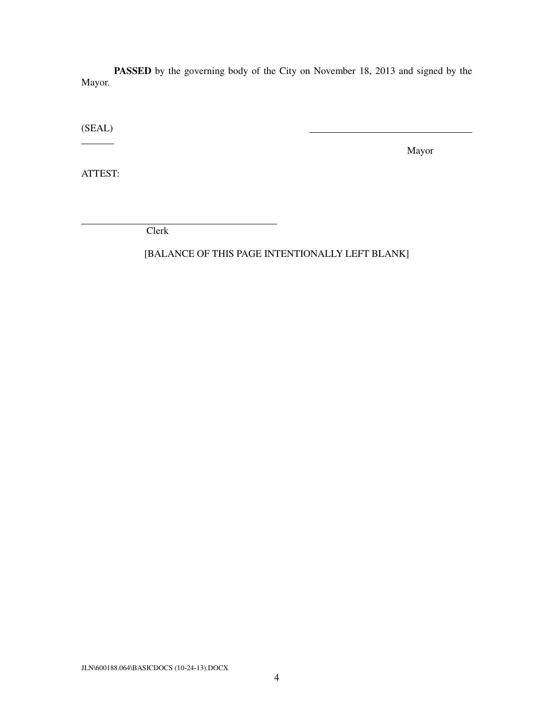**PASSED** by the governing body of the City on November 18, 2013 and signed by the Mayor.

(SEAL)

Mayor

ATTEST:

 $\overline{a}$ 

Clerk

[BALANCE OF THIS PAGE INTENTIONALLY LEFT BLANK]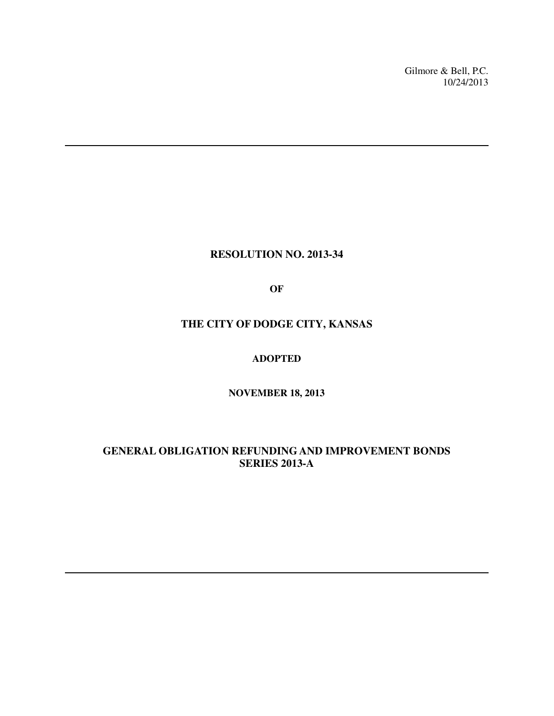Gilmore & Bell, P.C. 10/24/2013

#### **RESOLUTION NO. 2013-34**

**OF** 

#### **THE CITY OF DODGE CITY, KANSAS**

#### **ADOPTED**

**NOVEMBER 18, 2013** 

#### **GENERAL OBLIGATION REFUNDING AND IMPROVEMENT BONDS SERIES 2013-A**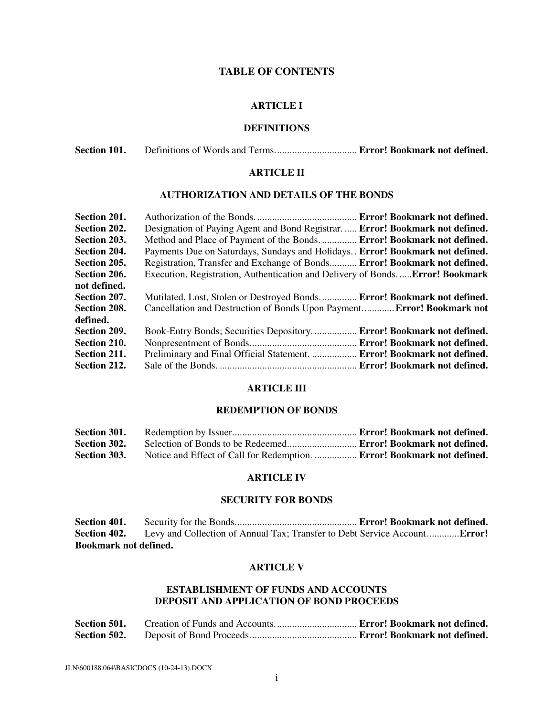#### **TABLE OF CONTENTS**

#### **ARTICLE I**

#### **DEFINITIONS**

#### **ARTICLE II**

#### **AUTHORIZATION AND DETAILS OF THE BONDS**

| Section 201. |                                                                                      |                              |
|--------------|--------------------------------------------------------------------------------------|------------------------------|
| Section 202. | Designation of Paying Agent and Bond Registrar Error! Bookmark not defined.          |                              |
| Section 203. | Method and Place of Payment of the Bonds.  Error! Bookmark not defined.              |                              |
| Section 204. | Payments Due on Saturdays, Sundays and Holidays. . Error! Bookmark not defined.      |                              |
| Section 205. | Registration, Transfer and Exchange of Bonds Error! Bookmark not defined.            |                              |
| Section 206. | Execution, Registration, Authentication and Delivery of Bonds <b>Error! Bookmark</b> |                              |
| not defined. |                                                                                      |                              |
| Section 207. | Mutilated, Lost, Stolen or Destroyed Bonds Error! Bookmark not defined.              |                              |
| Section 208. | Cancellation and Destruction of Bonds Upon Payment Error! Bookmark not               |                              |
| defined.     |                                                                                      |                              |
| Section 209. |                                                                                      | Error! Bookmark not defined. |
| Section 210. |                                                                                      |                              |
| Section 211. | Preliminary and Final Official Statement.  Error! Bookmark not defined.              |                              |
| Section 212. |                                                                                      |                              |

#### **ARTICLE III**

#### **REDEMPTION OF BONDS**

| Section 301. |                                                                               |  |
|--------------|-------------------------------------------------------------------------------|--|
| Section 302. |                                                                               |  |
| Section 303. | Notice and Effect of Call for Redemption. <b>Error! Bookmark not defined.</b> |  |

#### **ARTICLE IV**

#### **SECURITY FOR BONDS**

**Section 401.** Security for the Bonds................................................. **Error! Bookmark not defined.** Levy and Collection of Annual Tax; Transfer to Debt Service Account............**.Error! Bookmark not defined.**

#### **ARTICLE V**

#### **ESTABLISHMENT OF FUNDS AND ACCOUNTS DEPOSIT AND APPLICATION OF BOND PROCEEDS**

| Section 501. |  |  |
|--------------|--|--|
| Section 502. |  |  |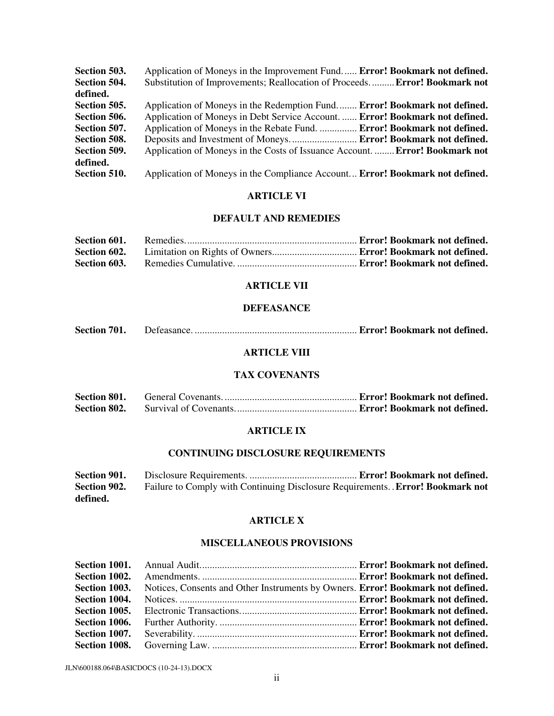| Section 503. | Application of Moneys in the Improvement Fund Error! Bookmark not defined.          |
|--------------|-------------------------------------------------------------------------------------|
| Section 504. | Substitution of Improvements; Reallocation of Proceeds Error! Bookmark not          |
| defined.     |                                                                                     |
| Section 505. | Application of Moneys in the Redemption Fund <b>Error! Bookmark not defined.</b>    |
| Section 506. | Application of Moneys in Debt Service Account Error! Bookmark not defined.          |
| Section 507. | Application of Moneys in the Rebate Fund.  Error! Bookmark not defined.             |
| Section 508. |                                                                                     |
| Section 509. | Application of Moneys in the Costs of Issuance Account.  Error! Bookmark not        |
| defined.     |                                                                                     |
| Section 510. | Application of Moneys in the Compliance Account <b>Error! Bookmark not defined.</b> |

#### **ARTICLE VI**

#### **DEFAULT AND REMEDIES**

| Section 601. |  |
|--------------|--|
| Section 602. |  |
| Section 603. |  |

#### **ARTICLE VII**

#### **DEFEASANCE**

| <b>Section 701.</b> |  |  |
|---------------------|--|--|
|---------------------|--|--|

#### **ARTICLE VIII**

#### **TAX COVENANTS**

| <b>Section 801.</b> |  |  |
|---------------------|--|--|
| Section 802.        |  |  |

#### **ARTICLE IX**

# **CONTINUING DISCLOSURE REQUIREMENTS**

| Section 901. |                                                                                       |  |
|--------------|---------------------------------------------------------------------------------------|--|
| Section 902. | Failure to Comply with Continuing Disclosure Requirements. <b>Error! Bookmark not</b> |  |
| defined.     |                                                                                       |  |

#### **ARTICLE X**

#### **MISCELLANEOUS PROVISIONS**

| Section 1002. |                                                                                 |  |
|---------------|---------------------------------------------------------------------------------|--|
| Section 1003. | Notices, Consents and Other Instruments by Owners. Error! Bookmark not defined. |  |
| Section 1004. |                                                                                 |  |
| Section 1005. |                                                                                 |  |
| Section 1006. |                                                                                 |  |
| Section 1007. |                                                                                 |  |
|               |                                                                                 |  |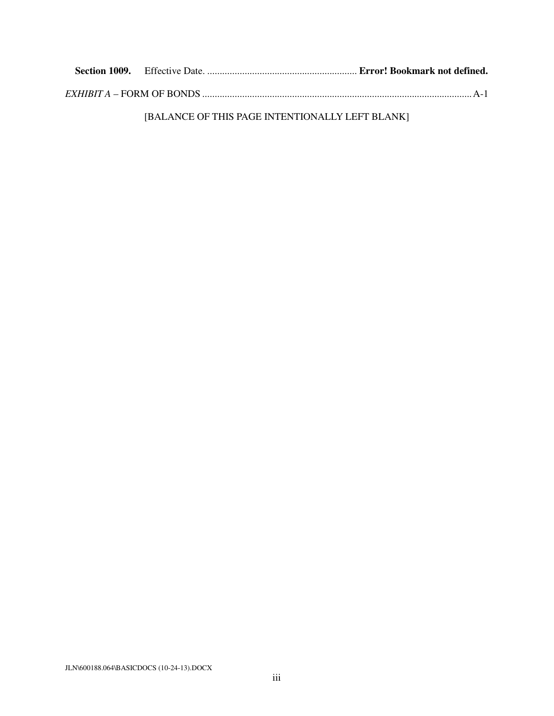[BALANCE OF THIS PAGE INTENTIONALLY LEFT BLANK]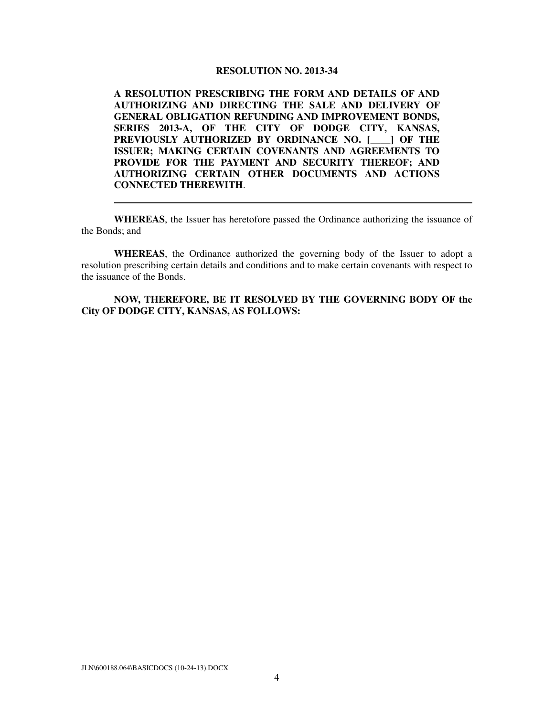#### **RESOLUTION NO. 2013-34**

**A RESOLUTION PRESCRIBING THE FORM AND DETAILS OF AND AUTHORIZING AND DIRECTING THE SALE AND DELIVERY OF GENERAL OBLIGATION REFUNDING AND IMPROVEMENT BONDS, SERIES 2013-A, OF THE CITY OF DODGE CITY, KANSAS, PREVIOUSLY AUTHORIZED BY ORDINANCE NO. [\_\_\_\_] OF THE ISSUER; MAKING CERTAIN COVENANTS AND AGREEMENTS TO PROVIDE FOR THE PAYMENT AND SECURITY THEREOF; AND AUTHORIZING CERTAIN OTHER DOCUMENTS AND ACTIONS CONNECTED THEREWITH**.

**WHEREAS**, the Issuer has heretofore passed the Ordinance authorizing the issuance of the Bonds; and

**WHEREAS**, the Ordinance authorized the governing body of the Issuer to adopt a resolution prescribing certain details and conditions and to make certain covenants with respect to the issuance of the Bonds.

**NOW, THEREFORE, BE IT RESOLVED BY THE GOVERNING BODY OF the City OF DODGE CITY, KANSAS, AS FOLLOWS:**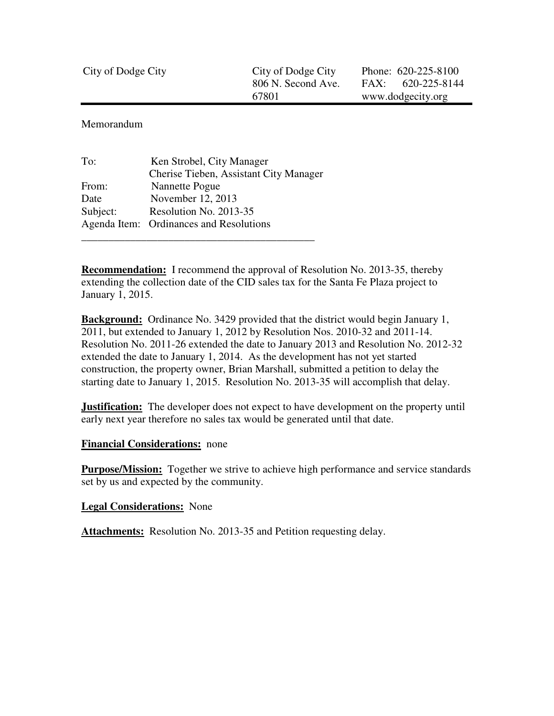| City of Dodge City | City of Dodge City | Phone: 620-225-8100  |  |  |
|--------------------|--------------------|----------------------|--|--|
|                    | 806 N. Second Ave. | 620-225-8144<br>FAX: |  |  |
|                    | 67801              | www.dodgecity.org    |  |  |

Memorandum

| To:      | Ken Strobel, City Manager               |
|----------|-----------------------------------------|
|          | Cherise Tieben, Assistant City Manager  |
| From:    | Nannette Pogue                          |
| Date     | November 12, 2013                       |
| Subject: | Resolution No. 2013-35                  |
|          | Agenda Item: Ordinances and Resolutions |
|          |                                         |

**Recommendation:** I recommend the approval of Resolution No. 2013-35, thereby extending the collection date of the CID sales tax for the Santa Fe Plaza project to January 1, 2015.

**Background:** Ordinance No. 3429 provided that the district would begin January 1, 2011, but extended to January 1, 2012 by Resolution Nos. 2010-32 and 2011-14. Resolution No. 2011-26 extended the date to January 2013 and Resolution No. 2012-32 extended the date to January 1, 2014. As the development has not yet started construction, the property owner, Brian Marshall, submitted a petition to delay the starting date to January 1, 2015. Resolution No. 2013-35 will accomplish that delay.

**Justification:** The developer does not expect to have development on the property until early next year therefore no sales tax would be generated until that date.

#### **Financial Considerations:** none

**Purpose/Mission:** Together we strive to achieve high performance and service standards set by us and expected by the community.

#### **Legal Considerations:** None

Attachments: Resolution No. 2013-35 and Petition requesting delay.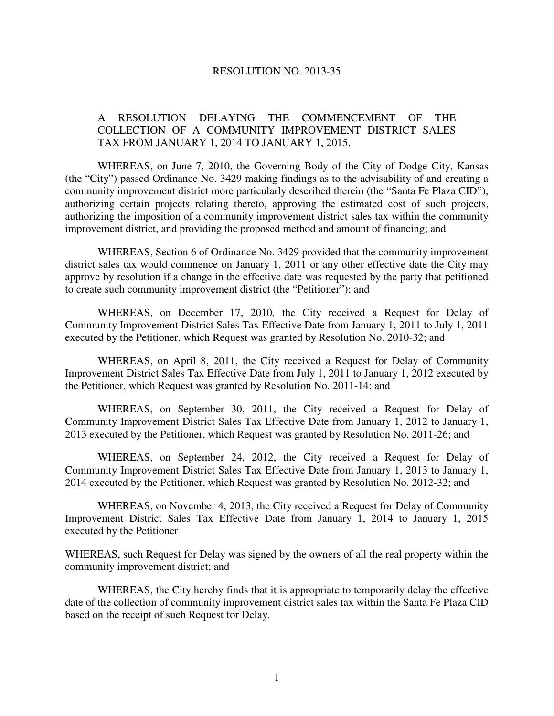#### RESOLUTION NO. 2013-35

#### A RESOLUTION DELAYING THE COMMENCEMENT OF THE COLLECTION OF A COMMUNITY IMPROVEMENT DISTRICT SALES TAX FROM JANUARY 1, 2014 TO JANUARY 1, 2015.

 WHEREAS, on June 7, 2010, the Governing Body of the City of Dodge City, Kansas (the "City") passed Ordinance No. 3429 making findings as to the advisability of and creating a community improvement district more particularly described therein (the "Santa Fe Plaza CID"), authorizing certain projects relating thereto, approving the estimated cost of such projects, authorizing the imposition of a community improvement district sales tax within the community improvement district, and providing the proposed method and amount of financing; and

 WHEREAS, Section 6 of Ordinance No. 3429 provided that the community improvement district sales tax would commence on January 1, 2011 or any other effective date the City may approve by resolution if a change in the effective date was requested by the party that petitioned to create such community improvement district (the "Petitioner"); and

 WHEREAS, on December 17, 2010, the City received a Request for Delay of Community Improvement District Sales Tax Effective Date from January 1, 2011 to July 1, 2011 executed by the Petitioner, which Request was granted by Resolution No. 2010-32; and

 WHEREAS, on April 8, 2011, the City received a Request for Delay of Community Improvement District Sales Tax Effective Date from July 1, 2011 to January 1, 2012 executed by the Petitioner, which Request was granted by Resolution No. 2011-14; and

 WHEREAS, on September 30, 2011, the City received a Request for Delay of Community Improvement District Sales Tax Effective Date from January 1, 2012 to January 1, 2013 executed by the Petitioner, which Request was granted by Resolution No. 2011-26; and

 WHEREAS, on September 24, 2012, the City received a Request for Delay of Community Improvement District Sales Tax Effective Date from January 1, 2013 to January 1, 2014 executed by the Petitioner, which Request was granted by Resolution No. 2012-32; and

WHEREAS, on November 4, 2013, the City received a Request for Delay of Community Improvement District Sales Tax Effective Date from January 1, 2014 to January 1, 2015 executed by the Petitioner

WHEREAS, such Request for Delay was signed by the owners of all the real property within the community improvement district; and

 WHEREAS, the City hereby finds that it is appropriate to temporarily delay the effective date of the collection of community improvement district sales tax within the Santa Fe Plaza CID based on the receipt of such Request for Delay.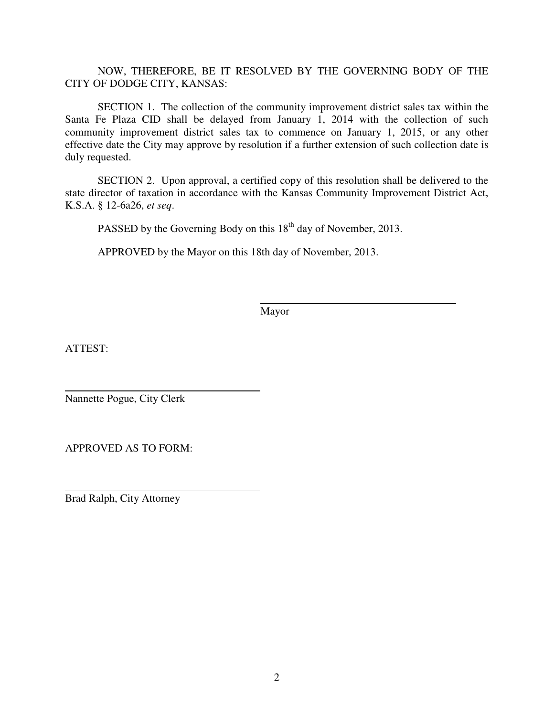#### NOW, THEREFORE, BE IT RESOLVED BY THE GOVERNING BODY OF THE CITY OF DODGE CITY, KANSAS:

 SECTION 1. The collection of the community improvement district sales tax within the Santa Fe Plaza CID shall be delayed from January 1, 2014 with the collection of such community improvement district sales tax to commence on January 1, 2015, or any other effective date the City may approve by resolution if a further extension of such collection date is duly requested.

 SECTION 2. Upon approval, a certified copy of this resolution shall be delivered to the state director of taxation in accordance with the Kansas Community Improvement District Act, K.S.A. § 12-6a26, *et seq*.

PASSED by the Governing Body on this  $18<sup>th</sup>$  day of November, 2013.

APPROVED by the Mayor on this 18th day of November, 2013.

Mayor

ATTEST:

 $\overline{a}$ Nannette Pogue, City Clerk

APPROVED AS TO FORM:

 $\overline{a}$ Brad Ralph, City Attorney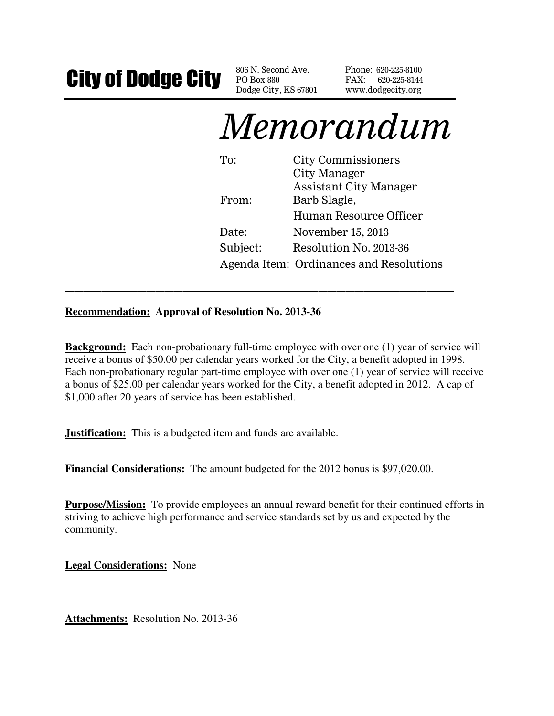# City of Dodge City BOBOX 880 Ave.

PO Box 880 Dodge City, KS 67801 Phone: 620-225-8100 FAX: 620-225-8144 www.dodgecity.org

# Memorandum

To: City Commissioners City Manager Assistant City Manager From: Barb Slagle, Human Resource Officer Date: November 15, 2013 Subject: Resolution No. 2013-36 Agenda Item: Ordinances and Resolutions

**Recommendation: Approval of Resolution No. 2013-36** 

**Background:** Each non-probationary full-time employee with over one (1) year of service will receive a bonus of \$50.00 per calendar years worked for the City, a benefit adopted in 1998. Each non-probationary regular part-time employee with over one (1) year of service will receive a bonus of \$25.00 per calendar years worked for the City, a benefit adopted in 2012. A cap of \$1,000 after 20 years of service has been established.

**\_\_\_\_\_\_\_\_\_\_\_\_\_\_\_\_\_\_\_\_\_\_\_\_\_\_\_\_\_\_\_\_\_\_\_\_\_\_\_\_\_\_\_** 

**Justification:** This is a budgeted item and funds are available.

**Financial Considerations:** The amount budgeted for the 2012 bonus is \$97,020.00.

**Purpose/Mission:** To provide employees an annual reward benefit for their continued efforts in striving to achieve high performance and service standards set by us and expected by the community.

**Legal Considerations:** None

**Attachments:** Resolution No. 2013-36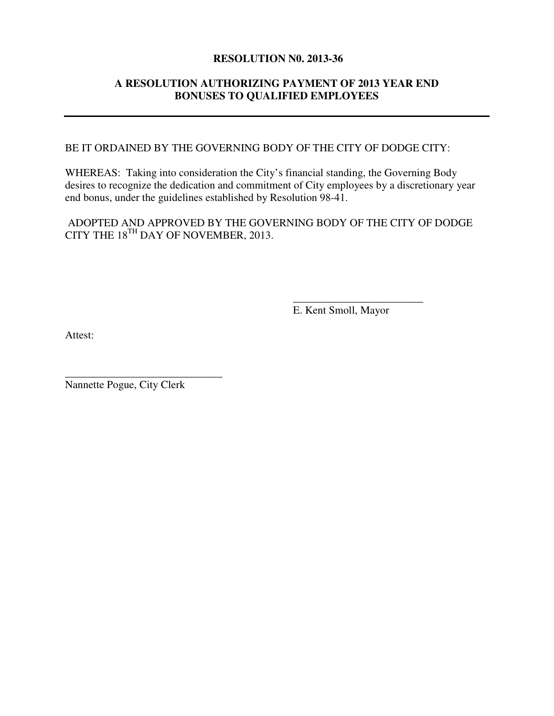#### **RESOLUTION N0. 2013-36**

#### **A RESOLUTION AUTHORIZING PAYMENT OF 2013 YEAR END BONUSES TO QUALIFIED EMPLOYEES**

BE IT ORDAINED BY THE GOVERNING BODY OF THE CITY OF DODGE CITY:

WHEREAS: Taking into consideration the City's financial standing, the Governing Body desires to recognize the dedication and commitment of City employees by a discretionary year end bonus, under the guidelines established by Resolution 98-41.

 ADOPTED AND APPROVED BY THE GOVERNING BODY OF THE CITY OF DODGE CITY THE 18<sup>TH</sup> DAY OF NOVEMBER, 2013.

 **\_\_\_\_\_\_\_\_\_\_\_\_\_\_\_\_\_\_\_\_\_\_\_\_** 

E. Kent Smoll, Mayor

Attest:

Nannette Pogue, City Clerk

**\_\_\_\_\_\_\_\_\_\_\_\_\_\_\_\_\_\_\_\_\_\_\_\_\_\_\_\_\_**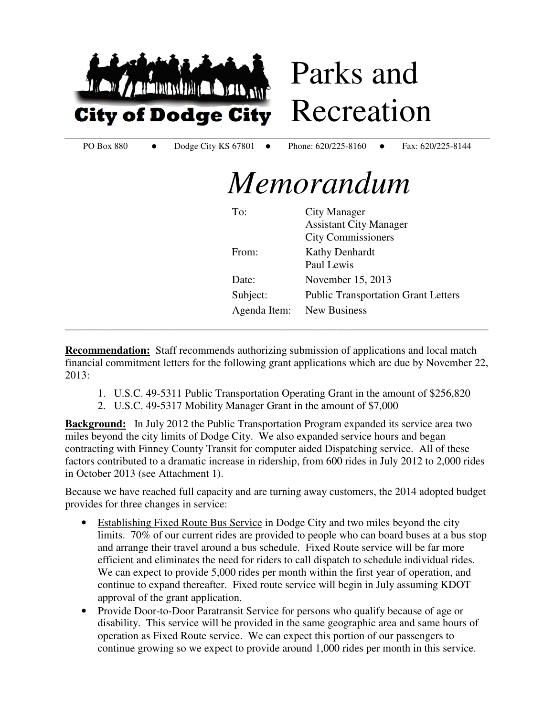

Parks and Recreation

PO Box 880 • Dodge City KS 67801 • Phone: 620/225-8160 • Fax: 620/225-8144

# *Memorandum*

| To:          | <b>City Manager</b>                        |
|--------------|--------------------------------------------|
|              | <b>Assistant City Manager</b>              |
|              | <b>City Commissioners</b>                  |
| From:        | <b>Kathy Denhardt</b>                      |
|              | Paul Lewis                                 |
| Date:        | November 15, 2013                          |
| Subject:     | <b>Public Transportation Grant Letters</b> |
| Agenda Item: | <b>New Business</b>                        |

**Recommendation:** Staff recommends authorizing submission of applications and local match financial commitment letters for the following grant applications which are due by November 22, 2013:

**\_\_\_\_\_\_\_\_\_\_\_\_\_\_\_\_\_\_\_\_\_\_\_\_\_\_\_\_\_\_\_\_\_\_\_\_\_\_\_\_\_\_\_\_\_\_\_\_\_\_\_\_\_\_\_\_\_\_\_\_\_\_\_\_\_\_\_\_\_\_\_\_\_\_\_\_\_\_** 

- 1. U.S.C. 49-5311 Public Transportation Operating Grant in the amount of \$256,820
- 2. U.S.C. 49-5317 Mobility Manager Grant in the amount of \$7,000

**Background:** In July 2012 the Public Transportation Program expanded its service area two miles beyond the city limits of Dodge City. We also expanded service hours and began contracting with Finney County Transit for computer aided Dispatching service. All of these factors contributed to a dramatic increase in ridership, from 600 rides in July 2012 to 2,000 rides in October 2013 (see Attachment 1).

Because we have reached full capacity and are turning away customers, the 2014 adopted budget provides for three changes in service:

- Establishing Fixed Route Bus Service in Dodge City and two miles beyond the city limits. 70% of our current rides are provided to people who can board buses at a bus stop and arrange their travel around a bus schedule. Fixed Route service will be far more efficient and eliminates the need for riders to call dispatch to schedule individual rides. We can expect to provide 5,000 rides per month within the first year of operation, and continue to expand thereafter. Fixed route service will begin in July assuming KDOT approval of the grant application.
- Provide Door-to-Door Paratransit Service for persons who qualify because of age or disability. This service will be provided in the same geographic area and same hours of operation as Fixed Route service. We can expect this portion of our passengers to continue growing so we expect to provide around 1,000 rides per month in this service.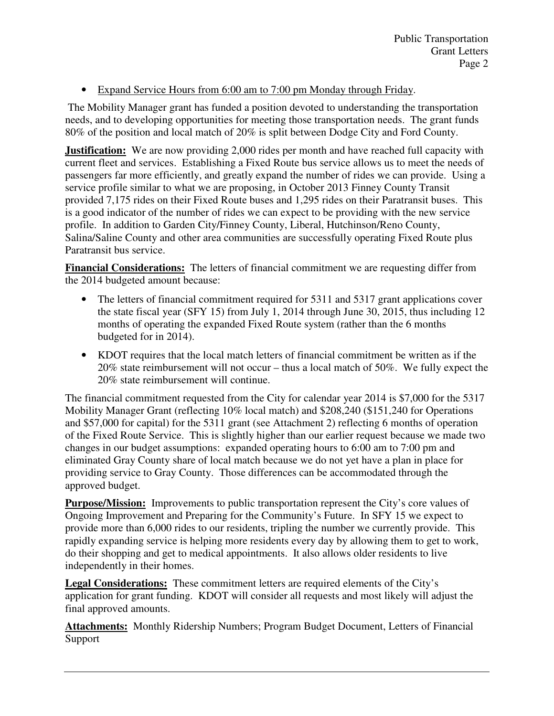### • Expand Service Hours from 6:00 am to 7:00 pm Monday through Friday.

 The Mobility Manager grant has funded a position devoted to understanding the transportation needs, and to developing opportunities for meeting those transportation needs. The grant funds 80% of the position and local match of 20% is split between Dodge City and Ford County.

**Justification:** We are now providing 2,000 rides per month and have reached full capacity with current fleet and services. Establishing a Fixed Route bus service allows us to meet the needs of passengers far more efficiently, and greatly expand the number of rides we can provide. Using a service profile similar to what we are proposing, in October 2013 Finney County Transit provided 7,175 rides on their Fixed Route buses and 1,295 rides on their Paratransit buses. This is a good indicator of the number of rides we can expect to be providing with the new service profile. In addition to Garden City/Finney County, Liberal, Hutchinson/Reno County, Salina/Saline County and other area communities are successfully operating Fixed Route plus Paratransit bus service.

**Financial Considerations:** The letters of financial commitment we are requesting differ from the 2014 budgeted amount because:

- The letters of financial commitment required for 5311 and 5317 grant applications cover the state fiscal year (SFY 15) from July 1, 2014 through June 30, 2015, thus including 12 months of operating the expanded Fixed Route system (rather than the 6 months budgeted for in 2014).
- KDOT requires that the local match letters of financial commitment be written as if the 20% state reimbursement will not occur – thus a local match of 50%. We fully expect the 20% state reimbursement will continue.

The financial commitment requested from the City for calendar year 2014 is \$7,000 for the 5317 Mobility Manager Grant (reflecting 10% local match) and \$208,240 (\$151,240 for Operations and \$57,000 for capital) for the 5311 grant (see Attachment 2) reflecting 6 months of operation of the Fixed Route Service. This is slightly higher than our earlier request because we made two changes in our budget assumptions: expanded operating hours to 6:00 am to 7:00 pm and eliminated Gray County share of local match because we do not yet have a plan in place for providing service to Gray County. Those differences can be accommodated through the approved budget.

**Purpose/Mission:** Improvements to public transportation represent the City's core values of Ongoing Improvement and Preparing for the Community's Future. In SFY 15 we expect to provide more than 6,000 rides to our residents, tripling the number we currently provide. This rapidly expanding service is helping more residents every day by allowing them to get to work, do their shopping and get to medical appointments. It also allows older residents to live independently in their homes.

**Legal Considerations:** These commitment letters are required elements of the City's application for grant funding. KDOT will consider all requests and most likely will adjust the final approved amounts.

**Attachments:** Monthly Ridership Numbers; Program Budget Document, Letters of Financial Support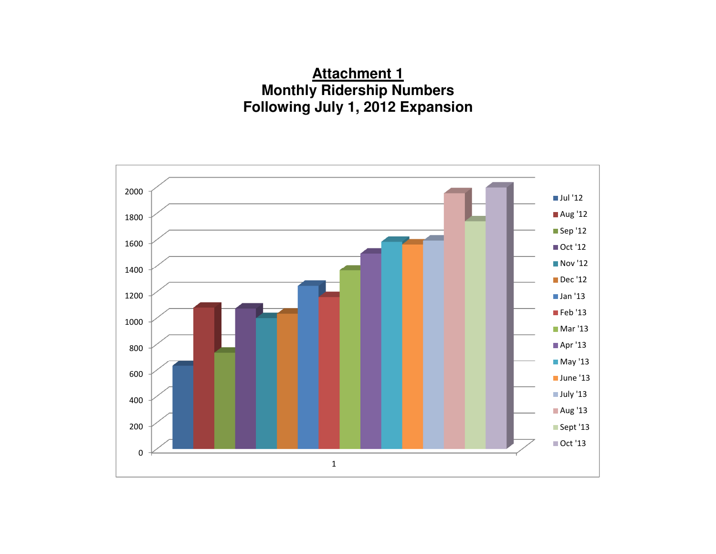# **Attachment 1 Monthly Ridership Numbers Following July 1, 2012 Expansion**

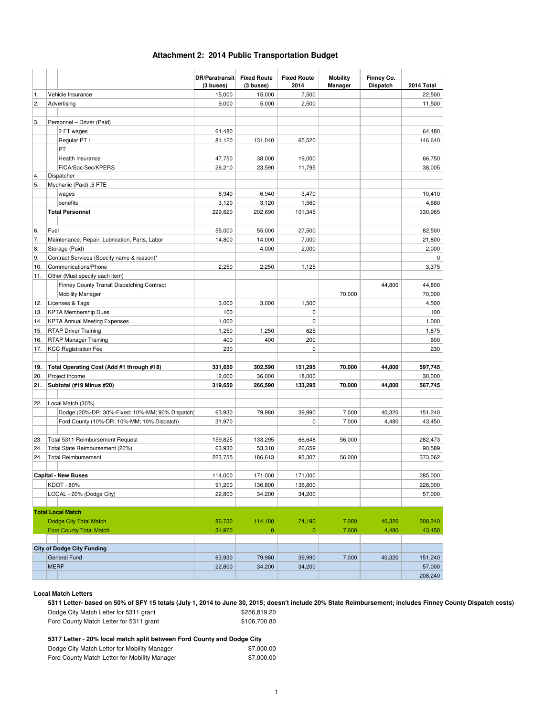#### **Attachment 2: 2014 Public Transportation Budget**

|                  |             |                                                 | DR/Paratransit Fixed Route<br>(3 buses) | (3 buses)    | <b>Fixed Route</b><br>2014 | <b>Mobility</b> | Finney Co.      | 2014 Total  |
|------------------|-------------|-------------------------------------------------|-----------------------------------------|--------------|----------------------------|-----------------|-----------------|-------------|
| 1.               |             | Vehicle Insurance                               | 15,000                                  | 15,000       | 7,500                      | <b>Manager</b>  | <b>Dispatch</b> | 22,500      |
| $\overline{2}$ . |             | Advertising                                     | 9,000                                   | 5,000        | 2,500                      |                 |                 | 11,500      |
|                  |             |                                                 |                                         |              |                            |                 |                 |             |
| 3.               |             | Personnel - Driver (Paid)                       |                                         |              |                            |                 |                 |             |
|                  |             | 2 FT wages                                      | 64,480                                  |              |                            |                 |                 | 64,480      |
|                  |             | Regular PT I                                    | 81,120                                  | 131,040      | 65,520                     |                 |                 | 146,640     |
|                  |             | PT                                              |                                         |              |                            |                 |                 |             |
|                  |             | Health Insurance                                | 47,750                                  | 38,000       | 19,000                     |                 |                 | 66,750      |
|                  |             | FICA/Soc Sec/KPERS                              | 26,210                                  | 23,590       | 11,795                     |                 |                 | 38,005      |
| 4.               |             | Dispatcher                                      |                                         |              |                            |                 |                 |             |
| 5.               |             | Mechanic (Paid) .5 FTE                          |                                         |              |                            |                 |                 |             |
|                  |             | wages                                           | 6,940                                   | 6,940        | 3,470                      |                 |                 | 10,410      |
|                  |             | benefits                                        | 3,120                                   | 3,120        | 1,560                      |                 |                 | 4,680       |
|                  |             | <b>Total Personnel</b>                          | 229,620                                 | 202,690      | 101,345                    |                 |                 | 330,965     |
|                  |             |                                                 |                                         |              |                            |                 |                 |             |
| 6.               | Fuel        |                                                 | 55,000                                  | 55,000       | 27,500                     |                 |                 | 82,500      |
| 7.               |             | Maintenance, Repair, Lubrication, Parts, Labor  | 14,800                                  | 14,000       | 7,000                      |                 |                 | 21,800      |
| 8.               |             | Storage (Paid)                                  |                                         | 4,000        | 2,000                      |                 |                 | 2,000       |
| 9.               |             | Contract Services (Specify name & reason)*      |                                         |              |                            |                 |                 | $\mathbf 0$ |
| 10.              |             | Communications/Phone                            | 2,250                                   | 2,250        | 1,125                      |                 |                 | 3,375       |
| 11.              |             | Other (Must specify each item)                  |                                         |              |                            |                 |                 |             |
|                  |             | Finney County Transit Dispatching Contract      |                                         |              |                            |                 | 44,800          | 44,800      |
|                  |             | <b>Mobility Manager</b>                         |                                         |              |                            | 70,000          |                 | 70,000      |
| 12.              |             | Licenses & Tags                                 | 3,000                                   | 3,000        | 1,500                      |                 |                 | 4,500       |
| 13.              |             | <b>KPTA Membership Dues</b>                     | 100                                     |              | 0                          |                 |                 | 100         |
| 14.              |             | <b>KPTA Annual Meeting Expenses</b>             | 1,000                                   |              | 0                          |                 |                 | 1,000       |
| 15.              |             | <b>RTAP Driver Training</b>                     | 1,250                                   | 1,250        | 625                        |                 |                 | 1,875       |
| 16.              |             | <b>RTAP Manager Training</b>                    | 400                                     | 400          | 200                        |                 |                 | 600         |
| 17.              |             | <b>KCC Registration Fee</b>                     | 230                                     |              | 0                          |                 |                 | 230         |
|                  |             |                                                 |                                         |              |                            |                 |                 |             |
| 19.              |             | Total Operating Cost (Add #1 through #18)       | 331,650                                 | 302,590      | 151,295                    | 70,000          | 44,800          | 597,745     |
| 20.              |             | Project Income                                  | 12,000                                  | 36,000       | 18,000                     |                 |                 | 30,000      |
| 21.              |             | Subtotal (#19 Minus #20)                        | 319,650                                 | 266,590      | 133,295                    | 70,000          | 44,800          | 567,745     |
|                  |             |                                                 |                                         |              |                            |                 |                 |             |
| 22.              |             | Local Match (30%)                               |                                         |              |                            |                 |                 |             |
|                  |             | Dodge (20%-DR; 30%-Fixed; 10%-MM; 90% Dispatch) | 63,930                                  | 79,980       | 39,990                     | 7,000           | 40,320          | 151,240     |
|                  |             | Ford County (10%-DR; 10%-MM; 10% Dispatch)      | 31,970                                  |              | 0                          | 7,000           | 4,480           | 43,450      |
|                  |             |                                                 |                                         |              |                            |                 |                 |             |
| 23.              |             | Total 5311 Reimbursement Request                | 159,825                                 | 133,295      | 66,648                     | 56,000          |                 | 282,473     |
| 24.              |             | Total State Reimbursement (20%)                 | 63,930                                  | 53,318       | 26,659                     |                 |                 | 90,589      |
| 24.              |             | <b>Total Reimbursement</b>                      | 223,755                                 | 186,613      | 93,307                     | 56,000          |                 | 373,062     |
|                  |             |                                                 |                                         |              |                            |                 |                 |             |
|                  |             | Capital - New Buses                             | 114,000                                 | 171,000      | 171,000                    |                 |                 | 285,000     |
|                  |             | KDOT - 80%                                      | 91,200                                  | 136,800      | 136,800                    |                 |                 | 228,000     |
|                  |             | LOCAL - 20% (Dodge City)                        | 22,800                                  | 34,200       | 34,200                     |                 |                 | 57,000      |
|                  |             |                                                 |                                         |              |                            |                 |                 |             |
|                  |             | <b>Total Local Match</b>                        |                                         |              |                            |                 |                 |             |
|                  |             | Dodge City Total Match                          | 86,730                                  | 114,180      | 74,190                     | 7,000           | 40,320          | 208,240     |
|                  |             | <b>Ford County Total Match</b>                  | 31,970                                  | $\mathbf{0}$ | $\mathbf{0}$               | 7,000           | 4,480           | 43,450      |
|                  |             |                                                 |                                         |              |                            |                 |                 |             |
|                  |             | <b>City of Dodge City Funding</b>               |                                         |              |                            |                 |                 |             |
|                  |             | <b>General Fund</b>                             | 63,930                                  | 79,980       | 39,990                     | 7,000           | 40,320          | 151,240     |
|                  | <b>MERF</b> |                                                 | 22,800                                  | 34,200       | 34,200                     |                 |                 | 57,000      |
|                  |             |                                                 |                                         |              |                            |                 |                 | 208,240     |

#### **Local Match Letters**

**5311 Letter- based on 50% of SFY 15 totals (July 1, 2014 to June 30, 2015; doesn't include 20% State Reimbursement; includes Finney County Dispatch costs)** Dodge City Match Letter for 5311 grant \$256,819.20<br>
Ford County Match Letter for 5311 grant \$106,700.80

Ford County Match Letter for 5311 grant

**5317 Letter - 20% local match split between Ford County and Dodge City**

| Dodge City Match Letter for Mobility Manager  | \$7,000.00 |
|-----------------------------------------------|------------|
| Ford County Match Letter for Mobility Manager | \$7,000.00 |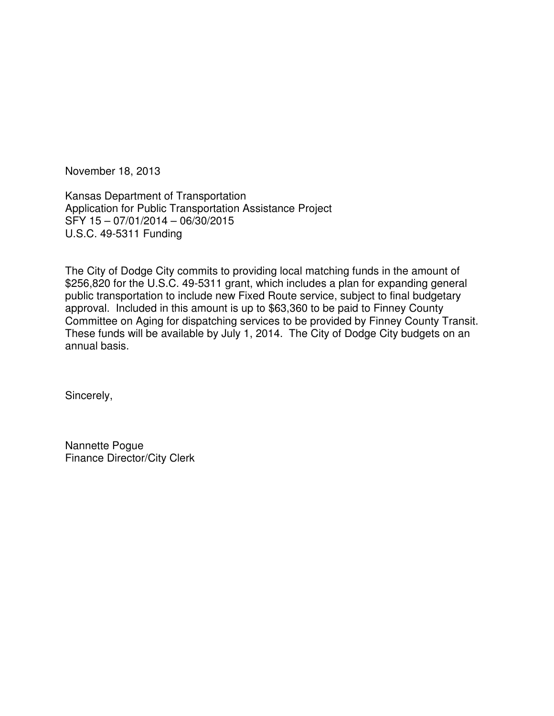November 18, 2013

Kansas Department of Transportation Application for Public Transportation Assistance Project SFY 15 – 07/01/2014 – 06/30/2015 U.S.C. 49-5311 Funding

The City of Dodge City commits to providing local matching funds in the amount of \$256,820 for the U.S.C. 49-5311 grant, which includes a plan for expanding general public transportation to include new Fixed Route service, subject to final budgetary approval. Included in this amount is up to \$63,360 to be paid to Finney County Committee on Aging for dispatching services to be provided by Finney County Transit. These funds will be available by July 1, 2014. The City of Dodge City budgets on an annual basis.

Sincerely,

Nannette Pogue Finance Director/City Clerk